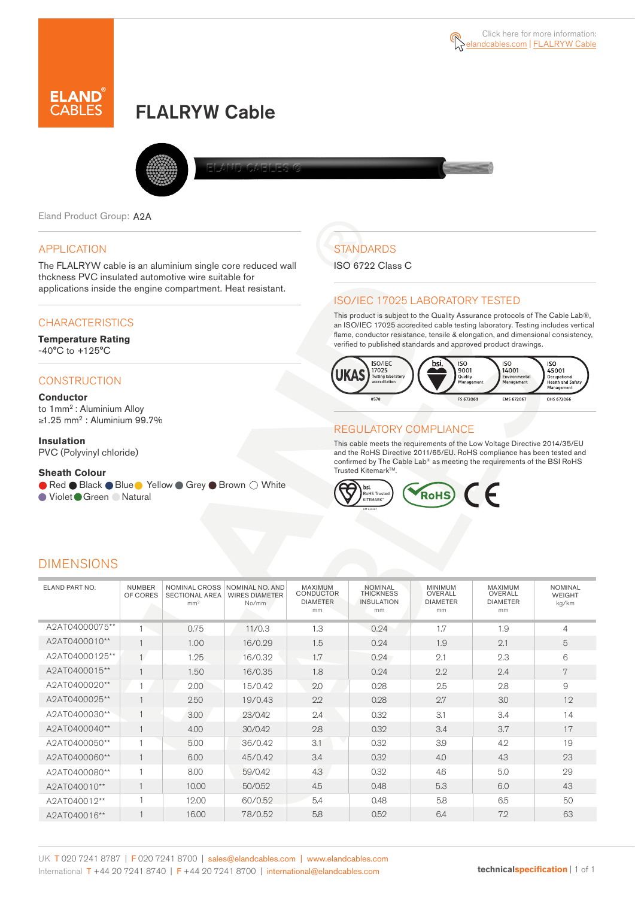

# FLALRYW Cable



Eland Product Group: A2A

## APPLICATION

The FLALRYW cable is an aluminium single core reduced wall thckness PVC insulated automotive wire suitable for applications inside the engine compartment. Heat resistant.

# **CHARACTERISTICS**

#### **Temperature Rating**  -40°C to +125°C

# **CONSTRUCTION**

#### **Conductor**

to 1mm<sup>2</sup>: Aluminium Alloy ≥1.25 mm<sup>2</sup> : Aluminium 99.7%

### **Insulation**

PVC (Polyvinyl chloride)

#### **Sheath Colour**

● Red ● Black ● Blue ● Yellow ● Grey ● Brown ○ White ● Violet Green ● Natural

# **STANDARDS**

ISO 6722 Class C

## ISO/IEC 17025 LABORATORY TESTED

This product is subject to the Quality Assurance protocols of The Cable Lab®, an ISO/IEC 17025 accredited cable testing laboratory. Testing includes vertical flame, conductor resistance, tensile & elongation, and dimensional consistency, verified to published standards and approved product drawings.



## REGULATORY COMPLIANCE

This cable meets the requirements of the Low Voltage Directive 2014/35/EU and the RoHS Directive 2011/65/EU. RoHS compliance has been tested and confirmed by The Cable Lab® as meeting the requirements of the BSI RoHS Trusted Kitemark™.



# DIMENSIONS

| ELAND PART NO. | <b>NUMBER</b><br>OF CORES | NOMINAL CROSS<br><b>SECTIONAL AREA</b><br>mm <sup>2</sup> | NOMINAL NO. AND<br><b>WIRES DIAMETER</b><br>No/mm | MAXIMUM<br><b>CONDUCTOR</b><br><b>DIAMETER</b><br>mm | <b>NOMINAL</b><br><b>THICKNESS</b><br><b>INSULATION</b><br>mm | <b>MINIMUM</b><br>OVERALL<br><b>DIAMETER</b><br>mm | MAXIMUM<br>OVERALL<br><b>DIAMETER</b><br>mm | <b>NOMINAL</b><br><b>WEIGHT</b><br>kg/km |
|----------------|---------------------------|-----------------------------------------------------------|---------------------------------------------------|------------------------------------------------------|---------------------------------------------------------------|----------------------------------------------------|---------------------------------------------|------------------------------------------|
| A2AT04000075** |                           | 0.75                                                      | 11/0.3                                            | 1.3                                                  | 0.24                                                          | 1.7                                                | 1.9                                         | 4                                        |
| A2AT0400010**  | $\overline{1}$            | 1.00                                                      | 16/0.29                                           | 1.5                                                  | 0.24                                                          | 1.9                                                | 2.1                                         | 5                                        |
| A2AT04000125** | $\overline{1}$            | 1.25                                                      | 16/0.32                                           | 1.7                                                  | 0.24                                                          | 2.1                                                | 2.3                                         | 6                                        |
| A2AT0400015**  |                           | 1.50                                                      | 16/0.35                                           | 1.8                                                  | 0.24                                                          | 2.2                                                | 2.4                                         | 7                                        |
| A2AT0400020**  |                           | 2.00                                                      | 15/0.42                                           | 2.0                                                  | 0.28                                                          | 2.5                                                | 2.8                                         | 9                                        |
| A2AT0400025**  |                           | 2.50                                                      | 19/0.43                                           | 2.2                                                  | 0.28                                                          | 2.7                                                | 3.0                                         | 12                                       |
| A2AT0400030**  |                           | 3.00                                                      | 23/0.42                                           | 2.4                                                  | 0.32                                                          | 3.1                                                | 3.4                                         | 14                                       |
| A2AT0400040**  |                           | 4.00                                                      | 30/0.42                                           | 2.8                                                  | 0.32                                                          | 3.4                                                | 3.7                                         | 17                                       |
| A2AT0400050**  |                           | 5.00                                                      | 36/0.42                                           | 3.1                                                  | 0.32                                                          | 3.9                                                | 4.2                                         | 19                                       |
| A2AT0400060**  | $\mathbf{1}$              | 6.00                                                      | 45/0.42                                           | 3.4                                                  | 0.32                                                          | 4.0                                                | 4.3                                         | 23                                       |
| A2AT0400080**  |                           | 8.00                                                      | 59/0.42                                           | 4.3                                                  | 0.32                                                          | 4.6                                                | 5.0                                         | 29                                       |
| A2AT040010**   |                           | 10.00                                                     | 50/0.52                                           | 4.5                                                  | 0.48                                                          | 5.3                                                | 6.0                                         | 43                                       |
| A2AT040012**   |                           | 12.00                                                     | 60/0.52                                           | 5.4                                                  | 0.48                                                          | 5.8                                                | 6.5                                         | 50                                       |
| A2AT040016**   |                           | 16.00                                                     | 78/0.52                                           | 5.8                                                  | 0.52                                                          | 6.4                                                | 7.2                                         | 63                                       |